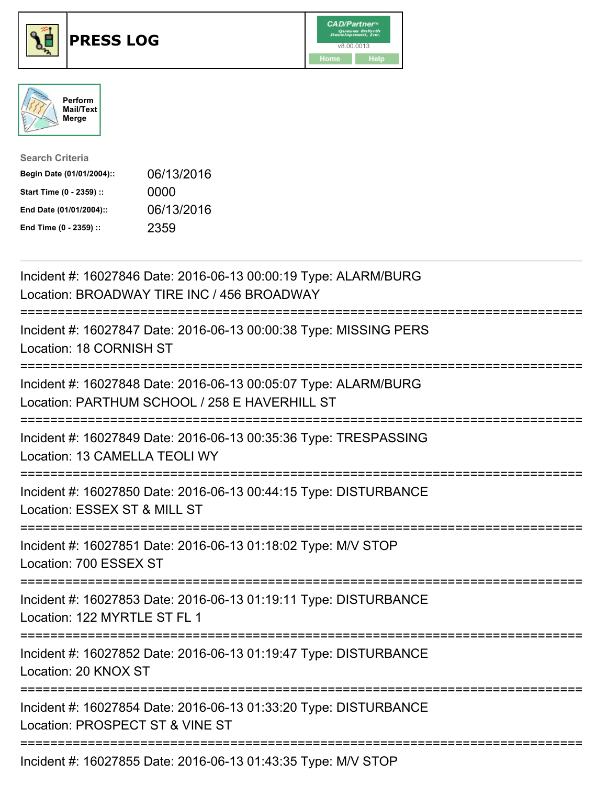





| <b>Search Criteria</b>    |            |
|---------------------------|------------|
| Begin Date (01/01/2004):: | 06/13/2016 |
| Start Time (0 - 2359) ::  | 0000       |
| End Date (01/01/2004)::   | 06/13/2016 |
| End Time (0 - 2359) ::    | 2359       |

| Incident #: 16027846 Date: 2016-06-13 00:00:19 Type: ALARM/BURG<br>Location: BROADWAY TIRE INC / 456 BROADWAY                   |
|---------------------------------------------------------------------------------------------------------------------------------|
| Incident #: 16027847 Date: 2016-06-13 00:00:38 Type: MISSING PERS<br>Location: 18 CORNISH ST                                    |
| Incident #: 16027848 Date: 2016-06-13 00:05:07 Type: ALARM/BURG<br>Location: PARTHUM SCHOOL / 258 E HAVERHILL ST                |
| Incident #: 16027849 Date: 2016-06-13 00:35:36 Type: TRESPASSING<br>Location: 13 CAMELLA TEOLI WY                               |
| Incident #: 16027850 Date: 2016-06-13 00:44:15 Type: DISTURBANCE<br>Location: ESSEX ST & MILL ST                                |
| Incident #: 16027851 Date: 2016-06-13 01:18:02 Type: M/V STOP<br>Location: 700 ESSEX ST<br>;=================================== |
| Incident #: 16027853 Date: 2016-06-13 01:19:11 Type: DISTURBANCE<br>Location: 122 MYRTLE ST FL 1                                |
| Incident #: 16027852 Date: 2016-06-13 01:19:47 Type: DISTURBANCE<br>Location: 20 KNOX ST                                        |
| Incident #: 16027854 Date: 2016-06-13 01:33:20 Type: DISTURBANCE<br>Location: PROSPECT ST & VINE ST                             |
| Incident #: 16027855 Date: 2016-06-13 01:43:35 Type: M/V STOP                                                                   |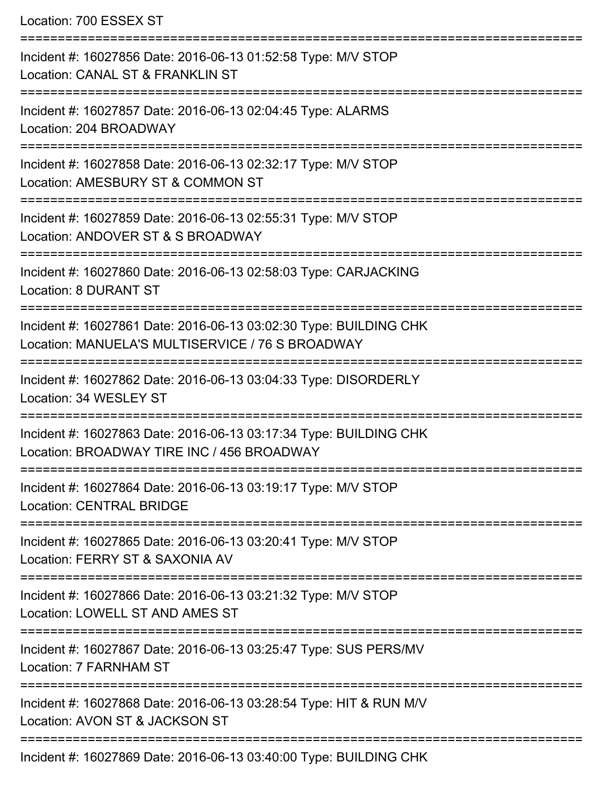Location: 700 ESSEX ST =========================================================================== Incident #: 16027856 Date: 2016-06-13 01:52:58 Type: M/V STOP Location: CANAL ST & FRANKLIN ST =========================================================================== Incident #: 16027857 Date: 2016-06-13 02:04:45 Type: ALARMS Location: 204 BROADWAY =========================================================================== Incident #: 16027858 Date: 2016-06-13 02:32:17 Type: M/V STOP Location: AMESBURY ST & COMMON ST =========================================================================== Incident #: 16027859 Date: 2016-06-13 02:55:31 Type: M/V STOP Location: ANDOVER ST & S BROADWAY =========================================================================== Incident #: 16027860 Date: 2016-06-13 02:58:03 Type: CARJACKING Location: 8 DURANT ST =========================================================================== Incident #: 16027861 Date: 2016-06-13 03:02:30 Type: BUILDING CHK Location: MANUELA'S MULTISERVICE / 76 S BROADWAY =========================================================================== Incident #: 16027862 Date: 2016-06-13 03:04:33 Type: DISORDERLY Location: 34 WESLEY ST =========================================================================== Incident #: 16027863 Date: 2016-06-13 03:17:34 Type: BUILDING CHK Location: BROADWAY TIRE INC / 456 BROADWAY =========================================================================== Incident #: 16027864 Date: 2016-06-13 03:19:17 Type: M/V STOP Location: CENTRAL BRIDGE =========================================================================== Incident #: 16027865 Date: 2016-06-13 03:20:41 Type: M/V STOP Location: FERRY ST & SAXONIA AV =========================================================================== Incident #: 16027866 Date: 2016-06-13 03:21:32 Type: M/V STOP Location: LOWELL ST AND AMES ST =========================================================================== Incident #: 16027867 Date: 2016-06-13 03:25:47 Type: SUS PERS/MV Location: 7 FARNHAM ST =========================================================================== Incident #: 16027868 Date: 2016-06-13 03:28:54 Type: HIT & RUN M/V Location: AVON ST & JACKSON ST ===========================================================================

Incident #: 16027869 Date: 2016-06-13 03:40:00 Type: BUILDING CHK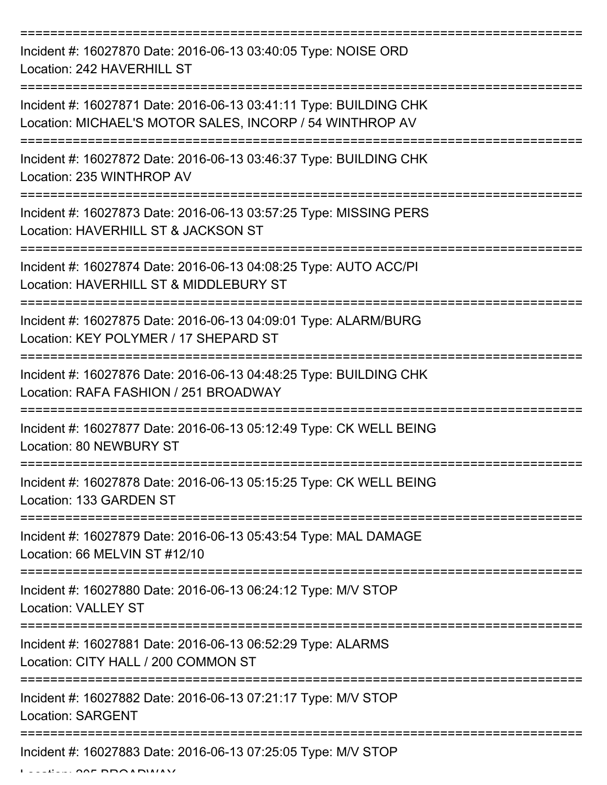| Incident #: 16027870 Date: 2016-06-13 03:40:05 Type: NOISE ORD<br>Location: 242 HAVERHILL ST                                  |
|-------------------------------------------------------------------------------------------------------------------------------|
| Incident #: 16027871 Date: 2016-06-13 03:41:11 Type: BUILDING CHK<br>Location: MICHAEL'S MOTOR SALES, INCORP / 54 WINTHROP AV |
| Incident #: 16027872 Date: 2016-06-13 03:46:37 Type: BUILDING CHK<br>Location: 235 WINTHROP AV                                |
| Incident #: 16027873 Date: 2016-06-13 03:57:25 Type: MISSING PERS<br>Location: HAVERHILL ST & JACKSON ST                      |
| Incident #: 16027874 Date: 2016-06-13 04:08:25 Type: AUTO ACC/PI<br>Location: HAVERHILL ST & MIDDLEBURY ST                    |
| Incident #: 16027875 Date: 2016-06-13 04:09:01 Type: ALARM/BURG<br>Location: KEY POLYMER / 17 SHEPARD ST                      |
| Incident #: 16027876 Date: 2016-06-13 04:48:25 Type: BUILDING CHK<br>Location: RAFA FASHION / 251 BROADWAY                    |
| Incident #: 16027877 Date: 2016-06-13 05:12:49 Type: CK WELL BEING<br>Location: 80 NEWBURY ST                                 |
| Incident #: 16027878 Date: 2016-06-13 05:15:25 Type: CK WELL BEING<br>Location: 133 GARDEN ST                                 |
| Incident #: 16027879 Date: 2016-06-13 05:43:54 Type: MAL DAMAGE<br>Location: 66 MELVIN ST #12/10                              |
| Incident #: 16027880 Date: 2016-06-13 06:24:12 Type: M/V STOP<br><b>Location: VALLEY ST</b><br>======================         |
| Incident #: 16027881 Date: 2016-06-13 06:52:29 Type: ALARMS<br>Location: CITY HALL / 200 COMMON ST                            |
| Incident #: 16027882 Date: 2016-06-13 07:21:17 Type: M/V STOP<br><b>Location: SARGENT</b>                                     |
| Incident #: 16027883 Date: 2016-06-13 07:25:05 Type: M/V STOP                                                                 |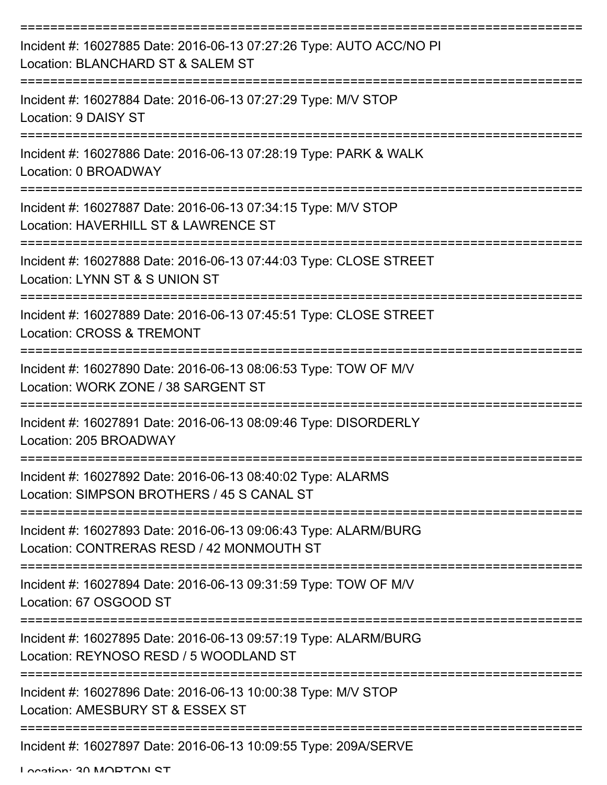| Incident #: 16027885 Date: 2016-06-13 07:27:26 Type: AUTO ACC/NO PI<br>Location: BLANCHARD ST & SALEM ST     |
|--------------------------------------------------------------------------------------------------------------|
| Incident #: 16027884 Date: 2016-06-13 07:27:29 Type: M/V STOP<br>Location: 9 DAISY ST                        |
| Incident #: 16027886 Date: 2016-06-13 07:28:19 Type: PARK & WALK<br>Location: 0 BROADWAY                     |
| Incident #: 16027887 Date: 2016-06-13 07:34:15 Type: M/V STOP<br>Location: HAVERHILL ST & LAWRENCE ST        |
| Incident #: 16027888 Date: 2016-06-13 07:44:03 Type: CLOSE STREET<br>Location: LYNN ST & S UNION ST          |
| Incident #: 16027889 Date: 2016-06-13 07:45:51 Type: CLOSE STREET<br>Location: CROSS & TREMONT               |
| Incident #: 16027890 Date: 2016-06-13 08:06:53 Type: TOW OF M/V<br>Location: WORK ZONE / 38 SARGENT ST       |
| Incident #: 16027891 Date: 2016-06-13 08:09:46 Type: DISORDERLY<br>Location: 205 BROADWAY                    |
| Incident #: 16027892 Date: 2016-06-13 08:40:02 Type: ALARMS<br>Location: SIMPSON BROTHERS / 45 S CANAL ST    |
| Incident #: 16027893 Date: 2016-06-13 09:06:43 Type: ALARM/BURG<br>Location: CONTRERAS RESD / 42 MONMOUTH ST |
| Incident #: 16027894 Date: 2016-06-13 09:31:59 Type: TOW OF M/V<br>Location: 67 OSGOOD ST                    |
| Incident #: 16027895 Date: 2016-06-13 09:57:19 Type: ALARM/BURG<br>Location: REYNOSO RESD / 5 WOODLAND ST    |
| Incident #: 16027896 Date: 2016-06-13 10:00:38 Type: M/V STOP<br>Location: AMESBURY ST & ESSEX ST            |
| Incident #: 16027897 Date: 2016-06-13 10:09:55 Type: 209A/SERVE                                              |

Location: 20 MODTON ST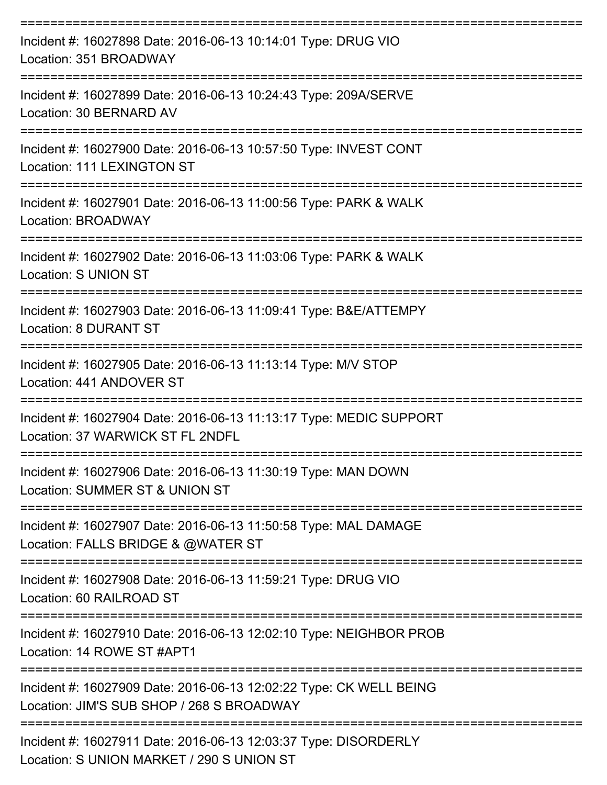| Incident #: 16027898 Date: 2016-06-13 10:14:01 Type: DRUG VIO<br>Location: 351 BROADWAY<br>================================ |
|-----------------------------------------------------------------------------------------------------------------------------|
| Incident #: 16027899 Date: 2016-06-13 10:24:43 Type: 209A/SERVE<br>Location: 30 BERNARD AV                                  |
| Incident #: 16027900 Date: 2016-06-13 10:57:50 Type: INVEST CONT<br>Location: 111 LEXINGTON ST                              |
| Incident #: 16027901 Date: 2016-06-13 11:00:56 Type: PARK & WALK<br>Location: BROADWAY                                      |
| --------------------<br>Incident #: 16027902 Date: 2016-06-13 11:03:06 Type: PARK & WALK<br><b>Location: S UNION ST</b>     |
| Incident #: 16027903 Date: 2016-06-13 11:09:41 Type: B&E/ATTEMPY<br>Location: 8 DURANT ST                                   |
| Incident #: 16027905 Date: 2016-06-13 11:13:14 Type: M/V STOP<br>Location: 441 ANDOVER ST                                   |
| Incident #: 16027904 Date: 2016-06-13 11:13:17 Type: MEDIC SUPPORT<br>Location: 37 WARWICK ST FL 2NDFL                      |
| Incident #: 16027906 Date: 2016-06-13 11:30:19 Type: MAN DOWN<br>Location: SUMMER ST & UNION ST                             |
| Incident #: 16027907 Date: 2016-06-13 11:50:58 Type: MAL DAMAGE<br>Location: FALLS BRIDGE & @WATER ST                       |
| Incident #: 16027908 Date: 2016-06-13 11:59:21 Type: DRUG VIO<br>Location: 60 RAILROAD ST                                   |
| -------------------<br>Incident #: 16027910 Date: 2016-06-13 12:02:10 Type: NEIGHBOR PROB<br>Location: 14 ROWE ST #APT1     |
| Incident #: 16027909 Date: 2016-06-13 12:02:22 Type: CK WELL BEING<br>Location: JIM'S SUB SHOP / 268 S BROADWAY             |
| Incident #: 16027911 Date: 2016-06-13 12:03:37 Type: DISORDERLY<br>Location: S UNION MARKET / 290 S UNION ST                |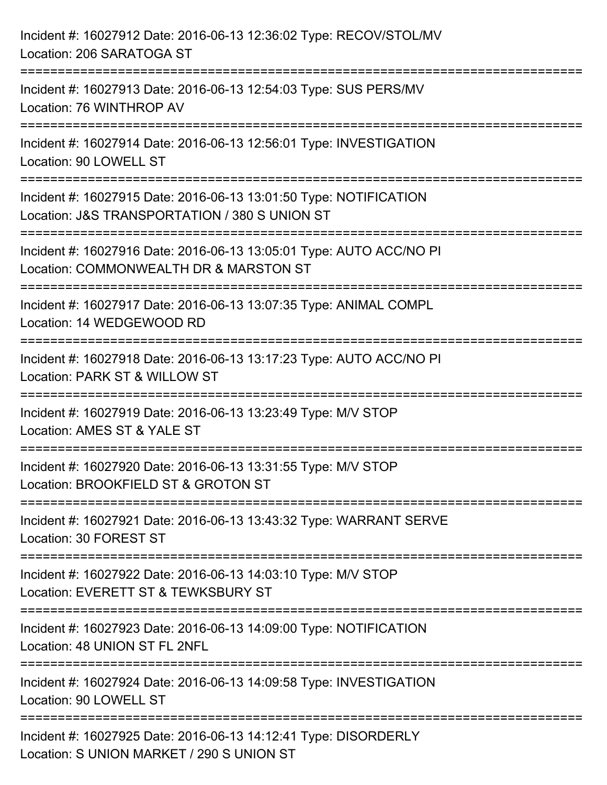| Incident #: 16027912 Date: 2016-06-13 12:36:02 Type: RECOV/STOL/MV<br>Location: 206 SARATOGA ST                                                  |
|--------------------------------------------------------------------------------------------------------------------------------------------------|
| :====================<br>Incident #: 16027913 Date: 2016-06-13 12:54:03 Type: SUS PERS/MV<br>Location: 76 WINTHROP AV                            |
| Incident #: 16027914 Date: 2016-06-13 12:56:01 Type: INVESTIGATION<br>Location: 90 LOWELL ST                                                     |
| Incident #: 16027915 Date: 2016-06-13 13:01:50 Type: NOTIFICATION<br>Location: J&S TRANSPORTATION / 380 S UNION ST                               |
| Incident #: 16027916 Date: 2016-06-13 13:05:01 Type: AUTO ACC/NO PI<br>Location: COMMONWEALTH DR & MARSTON ST<br>:============================== |
| Incident #: 16027917 Date: 2016-06-13 13:07:35 Type: ANIMAL COMPL<br>Location: 14 WEDGEWOOD RD                                                   |
| Incident #: 16027918 Date: 2016-06-13 13:17:23 Type: AUTO ACC/NO PI<br>Location: PARK ST & WILLOW ST<br>==================                       |
| ==============<br>Incident #: 16027919 Date: 2016-06-13 13:23:49 Type: M/V STOP<br>Location: AMES ST & YALE ST                                   |
| Incident #: 16027920 Date: 2016-06-13 13:31:55 Type: M/V STOP<br>Location: BROOKFIELD ST & GROTON ST                                             |
| Incident #: 16027921 Date: 2016-06-13 13:43:32 Type: WARRANT SERVE<br>Location: 30 FOREST ST                                                     |
| Incident #: 16027922 Date: 2016-06-13 14:03:10 Type: M/V STOP<br>Location: EVERETT ST & TEWKSBURY ST                                             |
| Incident #: 16027923 Date: 2016-06-13 14:09:00 Type: NOTIFICATION<br>Location: 48 UNION ST FL 2NFL                                               |
| Incident #: 16027924 Date: 2016-06-13 14:09:58 Type: INVESTIGATION<br>Location: 90 LOWELL ST                                                     |
| Incident #: 16027925 Date: 2016-06-13 14:12:41 Type: DISORDERLY<br>Location: S UNION MARKET / 290 S UNION ST                                     |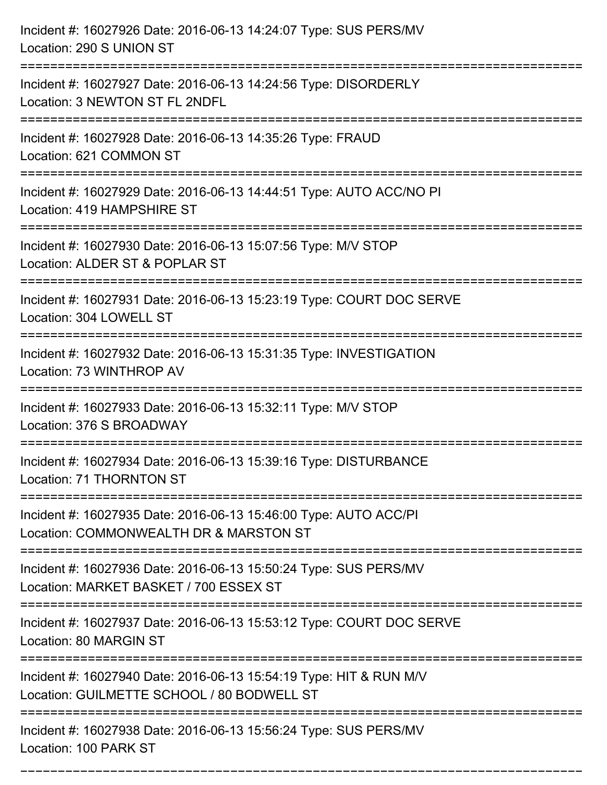| Incident #: 16027926 Date: 2016-06-13 14:24:07 Type: SUS PERS/MV<br>Location: 290 S UNION ST                          |
|-----------------------------------------------------------------------------------------------------------------------|
| Incident #: 16027927 Date: 2016-06-13 14:24:56 Type: DISORDERLY<br>Location: 3 NEWTON ST FL 2NDFL                     |
| Incident #: 16027928 Date: 2016-06-13 14:35:26 Type: FRAUD<br>Location: 621 COMMON ST<br>:=========================   |
| Incident #: 16027929 Date: 2016-06-13 14:44:51 Type: AUTO ACC/NO PI<br>Location: 419 HAMPSHIRE ST                     |
| Incident #: 16027930 Date: 2016-06-13 15:07:56 Type: M/V STOP<br>Location: ALDER ST & POPLAR ST<br>================== |
| Incident #: 16027931 Date: 2016-06-13 15:23:19 Type: COURT DOC SERVE<br>Location: 304 LOWELL ST                       |
| Incident #: 16027932 Date: 2016-06-13 15:31:35 Type: INVESTIGATION<br>Location: 73 WINTHROP AV                        |
| Incident #: 16027933 Date: 2016-06-13 15:32:11 Type: M/V STOP<br>Location: 376 S BROADWAY                             |
| Incident #: 16027934 Date: 2016-06-13 15:39:16 Type: DISTURBANCE<br>Location: 71 THORNTON ST                          |
| Incident #: 16027935 Date: 2016-06-13 15:46:00 Type: AUTO ACC/PI<br>Location: COMMONWEALTH DR & MARSTON ST            |
| Incident #: 16027936 Date: 2016-06-13 15:50:24 Type: SUS PERS/MV<br>Location: MARKET BASKET / 700 ESSEX ST            |
| Incident #: 16027937 Date: 2016-06-13 15:53:12 Type: COURT DOC SERVE<br>Location: 80 MARGIN ST                        |
| Incident #: 16027940 Date: 2016-06-13 15:54:19 Type: HIT & RUN M/V<br>Location: GUILMETTE SCHOOL / 80 BODWELL ST      |
| Incident #: 16027938 Date: 2016-06-13 15:56:24 Type: SUS PERS/MV<br>Location: 100 PARK ST                             |

===========================================================================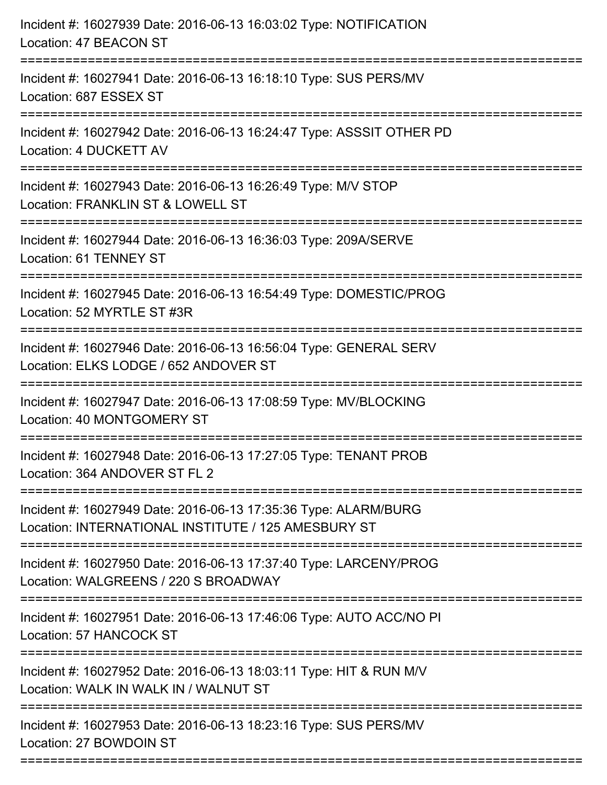| Incident #: 16027939 Date: 2016-06-13 16:03:02 Type: NOTIFICATION<br>Location: 47 BEACON ST                                       |
|-----------------------------------------------------------------------------------------------------------------------------------|
| Incident #: 16027941 Date: 2016-06-13 16:18:10 Type: SUS PERS/MV<br>Location: 687 ESSEX ST                                        |
| Incident #: 16027942 Date: 2016-06-13 16:24:47 Type: ASSSIT OTHER PD<br>Location: 4 DUCKETT AV<br>;============================== |
| Incident #: 16027943 Date: 2016-06-13 16:26:49 Type: M/V STOP<br>Location: FRANKLIN ST & LOWELL ST<br>------------------------    |
| Incident #: 16027944 Date: 2016-06-13 16:36:03 Type: 209A/SERVE<br>Location: 61 TENNEY ST                                         |
| Incident #: 16027945 Date: 2016-06-13 16:54:49 Type: DOMESTIC/PROG<br>Location: 52 MYRTLE ST #3R                                  |
| Incident #: 16027946 Date: 2016-06-13 16:56:04 Type: GENERAL SERV<br>Location: ELKS LODGE / 652 ANDOVER ST                        |
| Incident #: 16027947 Date: 2016-06-13 17:08:59 Type: MV/BLOCKING<br>Location: 40 MONTGOMERY ST                                    |
| Incident #: 16027948 Date: 2016-06-13 17:27:05 Type: TENANT PROB<br>Location: 364 ANDOVER ST FL 2                                 |
| Incident #: 16027949 Date: 2016-06-13 17:35:36 Type: ALARM/BURG<br>Location: INTERNATIONAL INSTITUTE / 125 AMESBURY ST            |
| Incident #: 16027950 Date: 2016-06-13 17:37:40 Type: LARCENY/PROG<br>Location: WALGREENS / 220 S BROADWAY                         |
| Incident #: 16027951 Date: 2016-06-13 17:46:06 Type: AUTO ACC/NO PI<br>Location: 57 HANCOCK ST                                    |
| Incident #: 16027952 Date: 2016-06-13 18:03:11 Type: HIT & RUN M/V<br>Location: WALK IN WALK IN / WALNUT ST                       |
| Incident #: 16027953 Date: 2016-06-13 18:23:16 Type: SUS PERS/MV<br>Location: 27 BOWDOIN ST                                       |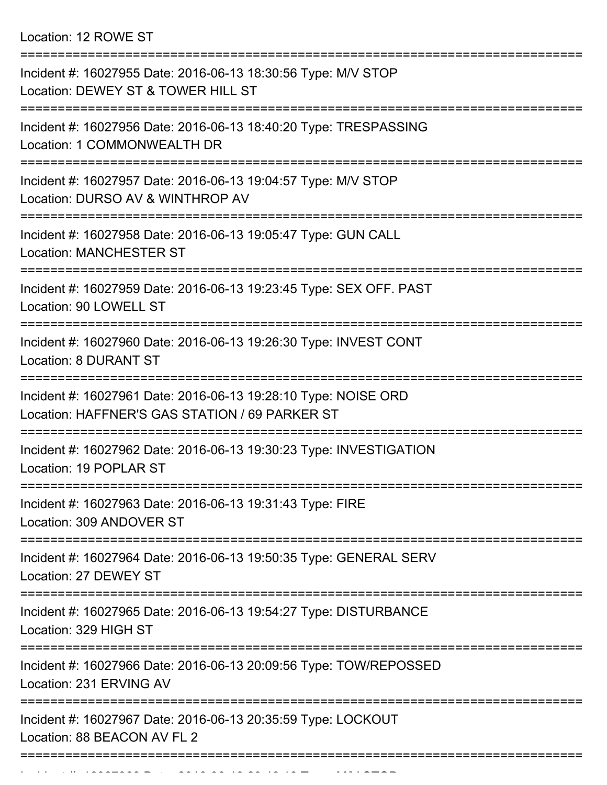Location: 12 ROWE ST

| Incident #: 16027955 Date: 2016-06-13 18:30:56 Type: M/V STOP<br>Location: DEWEY ST & TOWER HILL ST                                                           |
|---------------------------------------------------------------------------------------------------------------------------------------------------------------|
| Incident #: 16027956 Date: 2016-06-13 18:40:20 Type: TRESPASSING<br>Location: 1 COMMONWEALTH DR                                                               |
| Incident #: 16027957 Date: 2016-06-13 19:04:57 Type: M/V STOP<br>Location: DURSO AV & WINTHROP AV                                                             |
| Incident #: 16027958 Date: 2016-06-13 19:05:47 Type: GUN CALL<br><b>Location: MANCHESTER ST</b>                                                               |
| Incident #: 16027959 Date: 2016-06-13 19:23:45 Type: SEX OFF. PAST<br>Location: 90 LOWELL ST                                                                  |
| Incident #: 16027960 Date: 2016-06-13 19:26:30 Type: INVEST CONT<br>Location: 8 DURANT ST                                                                     |
| Incident #: 16027961 Date: 2016-06-13 19:28:10 Type: NOISE ORD<br>Location: HAFFNER'S GAS STATION / 69 PARKER ST                                              |
| Incident #: 16027962 Date: 2016-06-13 19:30:23 Type: INVESTIGATION<br>Location: 19 POPLAR ST                                                                  |
| Incident #: 16027963 Date: 2016-06-13 19:31:43 Type: FIRE<br>Location: 309 ANDOVER ST                                                                         |
| =========================<br>==================================<br>Incident #: 16027964 Date: 2016-06-13 19:50:35 Type: GENERAL SERV<br>Location: 27 DEWEY ST |
| Incident #: 16027965 Date: 2016-06-13 19:54:27 Type: DISTURBANCE<br>Location: 329 HIGH ST                                                                     |
| Incident #: 16027966 Date: 2016-06-13 20:09:56 Type: TOW/REPOSSED<br>Location: 231 ERVING AV                                                                  |
| Incident #: 16027967 Date: 2016-06-13 20:35:59 Type: LOCKOUT<br>Location: 88 BEACON AV FL 2                                                                   |
|                                                                                                                                                               |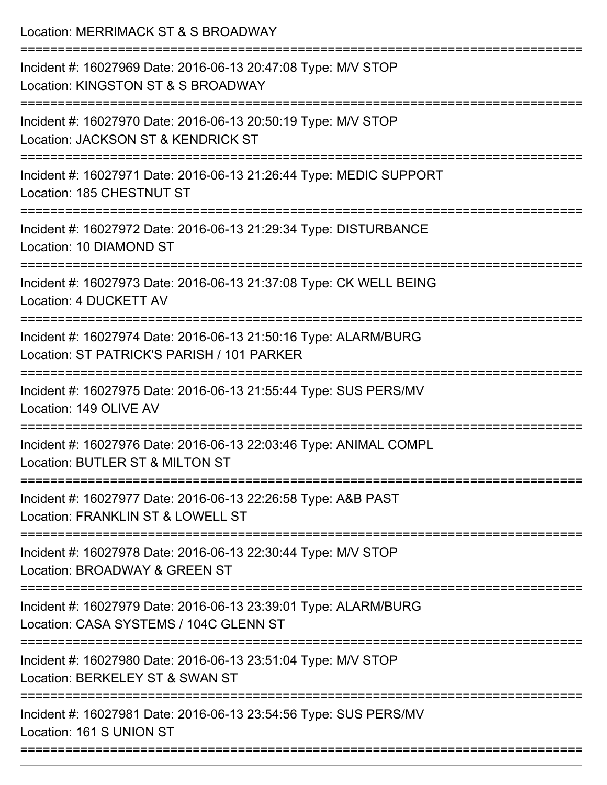Location: MERRIMACK ST & S BROADWAY

| Incident #: 16027969 Date: 2016-06-13 20:47:08 Type: M/V STOP<br>Location: KINGSTON ST & S BROADWAY           |
|---------------------------------------------------------------------------------------------------------------|
| Incident #: 16027970 Date: 2016-06-13 20:50:19 Type: M/V STOP<br>Location: JACKSON ST & KENDRICK ST           |
| Incident #: 16027971 Date: 2016-06-13 21:26:44 Type: MEDIC SUPPORT<br>Location: 185 CHESTNUT ST               |
| Incident #: 16027972 Date: 2016-06-13 21:29:34 Type: DISTURBANCE<br>Location: 10 DIAMOND ST                   |
| Incident #: 16027973 Date: 2016-06-13 21:37:08 Type: CK WELL BEING<br>Location: 4 DUCKETT AV                  |
| Incident #: 16027974 Date: 2016-06-13 21:50:16 Type: ALARM/BURG<br>Location: ST PATRICK'S PARISH / 101 PARKER |
| Incident #: 16027975 Date: 2016-06-13 21:55:44 Type: SUS PERS/MV<br>Location: 149 OLIVE AV                    |
| Incident #: 16027976 Date: 2016-06-13 22:03:46 Type: ANIMAL COMPL<br>Location: BUTLER ST & MILTON ST          |
| Incident #: 16027977 Date: 2016-06-13 22:26:58 Type: A&B PAST<br>Location: FRANKLIN ST & LOWELL ST            |
| Incident #: 16027978 Date: 2016-06-13 22:30:44 Type: M/V STOP<br>Location: BROADWAY & GREEN ST                |
| Incident #: 16027979 Date: 2016-06-13 23:39:01 Type: ALARM/BURG<br>Location: CASA SYSTEMS / 104C GLENN ST     |
| Incident #: 16027980 Date: 2016-06-13 23:51:04 Type: M/V STOP<br>Location: BERKELEY ST & SWAN ST              |
| Incident #: 16027981 Date: 2016-06-13 23:54:56 Type: SUS PERS/MV<br>Location: 161 S UNION ST                  |
|                                                                                                               |